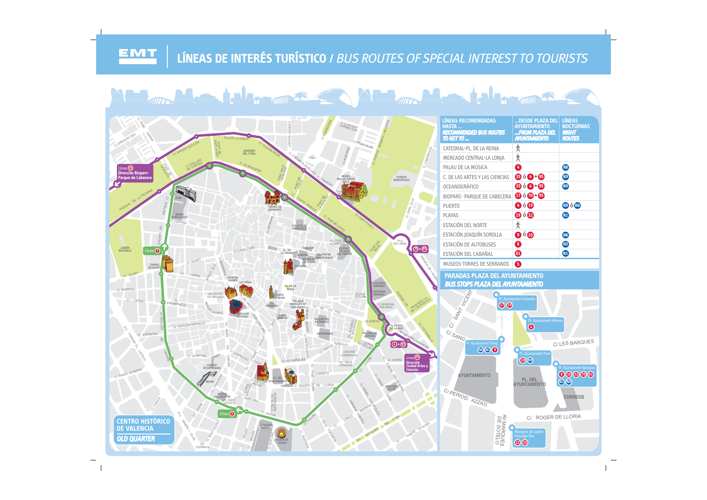## LÍNEAS DE INTERÉS TURÍSTICO / BUS ROUTES OF SPECIAL INTEREST TO TOURISTS

EMT